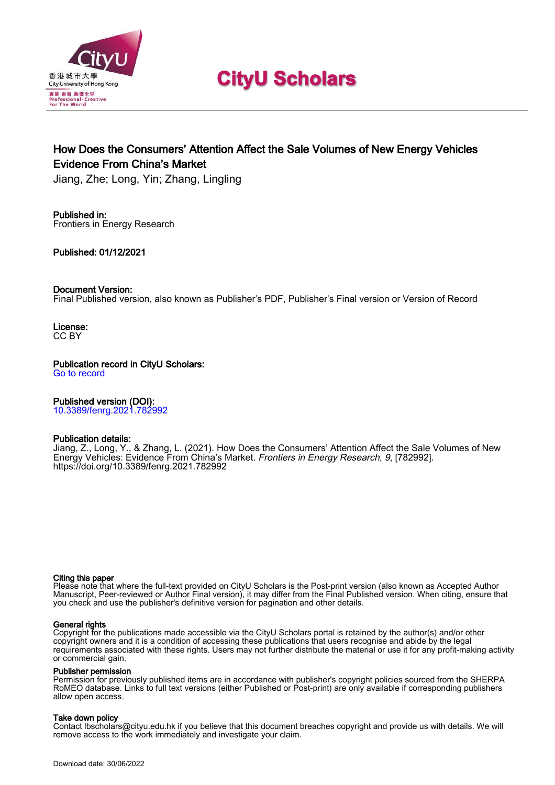

# **CityU Scholars**

# How Does the Consumers' Attention Affect the Sale Volumes of New Energy Vehicles Evidence From China's Market

Jiang, Zhe; Long, Yin; Zhang, Lingling

# Published in:

Frontiers in Energy Research

Published: 01/12/2021

## Document Version:

Final Published version, also known as Publisher's PDF, Publisher's Final version or Version of Record

License: CC BY

# Publication record in CityU Scholars:

[Go to record](https://scholars.cityu.edu.hk/en/publications/how-does-the-consumers-attention-affect-the-sale-volumes-of-new-energy-vehicles(b77a02c2-a225-427a-912c-a7f87d0986d8).html)

## Published version (DOI):

[10.3389/fenrg.2021.782992](https://doi.org/10.3389/fenrg.2021.782992)

## Publication details:

[Jiang, Z.](https://scholars.cityu.edu.hk/en/persons/zhe-jiang(5973c06e-7153-47ad-80d7-2bb4ba600cf2).html), Long, Y., & Zhang, L. (2021). [How Does the Consumers' Attention Affect the Sale Volumes of New](https://scholars.cityu.edu.hk/en/publications/how-does-the-consumers-attention-affect-the-sale-volumes-of-new-energy-vehicles(b77a02c2-a225-427a-912c-a7f87d0986d8).html) [Energy Vehicles: Evidence From China's Market](https://scholars.cityu.edu.hk/en/publications/how-does-the-consumers-attention-affect-the-sale-volumes-of-new-energy-vehicles(b77a02c2-a225-427a-912c-a7f87d0986d8).html). [Frontiers in Energy Research](https://scholars.cityu.edu.hk/en/journals/frontiers-in-energy-research(dc7270eb-9e36-480a-a439-8d9d3cdf1874)/publications.html), 9, [782992]. <https://doi.org/10.3389/fenrg.2021.782992>

#### Citing this paper

Please note that where the full-text provided on CityU Scholars is the Post-print version (also known as Accepted Author Manuscript, Peer-reviewed or Author Final version), it may differ from the Final Published version. When citing, ensure that you check and use the publisher's definitive version for pagination and other details.

#### General rights

Copyright for the publications made accessible via the CityU Scholars portal is retained by the author(s) and/or other copyright owners and it is a condition of accessing these publications that users recognise and abide by the legal requirements associated with these rights. Users may not further distribute the material or use it for any profit-making activity or commercial gain.

#### Publisher permission

Permission for previously published items are in accordance with publisher's copyright policies sourced from the SHERPA RoMEO database. Links to full text versions (either Published or Post-print) are only available if corresponding publishers allow open access.

## Take down policy

Contact lbscholars@cityu.edu.hk if you believe that this document breaches copyright and provide us with details. We will remove access to the work immediately and investigate your claim.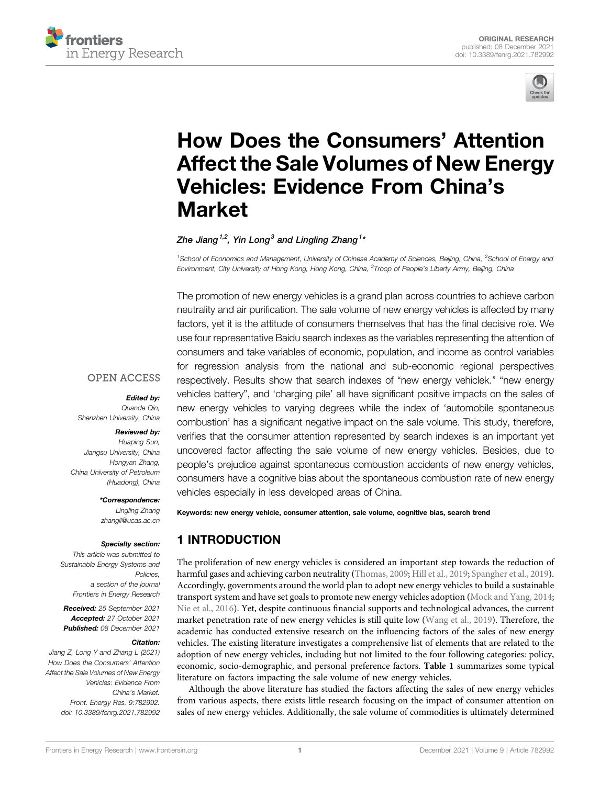



# [How Does the Consumers](https://www.frontiersin.org/articles/10.3389/fenrg.2021.782992/full)' Attention [Affect the Sale Volumes of New Energy](https://www.frontiersin.org/articles/10.3389/fenrg.2021.782992/full) [Vehicles: Evidence From China](https://www.frontiersin.org/articles/10.3389/fenrg.2021.782992/full)'s [Market](https://www.frontiersin.org/articles/10.3389/fenrg.2021.782992/full)

## Zhe Jiang $^{1,2}$ , Yin Long $^3$  and Lingling Zhang $^{1\star}$

<sup>1</sup>School of Economics and Management, University of Chinese Academy of Sciences, Beijing, China, <sup>2</sup>School of Energy and Environment, City University of Hong Kong, Hong Kong, China, <sup>3</sup>Troop of People's Liberty Army, Beijing, China

The promotion of new energy vehicles is a grand plan across countries to achieve carbon neutrality and air purification. The sale volume of new energy vehicles is affected by many factors, yet it is the attitude of consumers themselves that has the final decisive role. We use four representative Baidu search indexes as the variables representing the attention of consumers and take variables of economic, population, and income as control variables for regression analysis from the national and sub-economic regional perspectives respectively. Results show that search indexes of "new energy vehiclek." "new energy vehicles battery", and 'charging pile' all have significant positive impacts on the sales of new energy vehicles to varying degrees while the index of 'automobile spontaneous combustion' has a significant negative impact on the sale volume. This study, therefore, verifies that the consumer attention represented by search indexes is an important yet uncovered factor affecting the sale volume of new energy vehicles. Besides, due to people's prejudice against spontaneous combustion accidents of new energy vehicles, consumers have a cognitive bias about the spontaneous combustion rate of new energy vehicles especially in less developed areas of China.

# **OPEN ACCESS**

#### Edited by:

Quande Qin, Shenzhen University, China

#### Reviewed by:

Huaping Sun, Jiangsu University, China Hongyan Zhang, China University of Petroleum (Huadong), China

#### \*Correspondence:

Lingling Zhang [zhangll@ucas.ac.cn](mailto:zhangll@ucas.ac.cn)

#### Specialty section:

This article was submitted to Sustainable Energy Systems and Policies a section of the journal Frontiers in Energy Research

Received: 25 September 2021 Accepted: 27 October 2021 Published: 08 December 2021

## Citation:

Jiang Z, Long Y and Zhang L (2021) How Does the Consumers' Attention Affect the Sale Volumes of New Energy Vehicles: Evidence From China's Market. Front. Energy Res. 9:782992. doi: [10.3389/fenrg.2021.782992](https://doi.org/10.3389/fenrg.2021.782992)

Keywords: new energy vehicle, consumer attention, sale volume, cognitive bias, search trend

# 1 INTRODUCTION

The proliferation of new energy vehicles is considered an important step towards the reduction of harmful gases and achieving carbon neutrality [\(Thomas, 2009;](#page-13-0) [Hill et al., 2019](#page-12-0); [Spangher et al., 2019\)](#page-13-1). Accordingly, governments around the world plan to adopt new energy vehicles to build a sustainable transport system and have set goals to promote new energy vehicles adoption ([Mock and Yang, 2014;](#page-12-1) [Nie et al., 2016\)](#page-13-2). Yet, despite continuous financial supports and technological advances, the current market penetration rate of new energy vehicles is still quite low [\(Wang et al., 2019](#page-13-3)). Therefore, the academic has conducted extensive research on the influencing factors of the sales of new energy vehicles. The existing literature investigates a comprehensive list of elements that are related to the adoption of new energy vehicles, including but not limited to the four following categories: policy, economic, socio-demographic, and personal preference factors. [Table 1](#page-2-0) summarizes some typical literature on factors impacting the sale volume of new energy vehicles.

Although the above literature has studied the factors affecting the sales of new energy vehicles from various aspects, there exists little research focusing on the impact of consumer attention on sales of new energy vehicles. Additionally, the sale volume of commodities is ultimately determined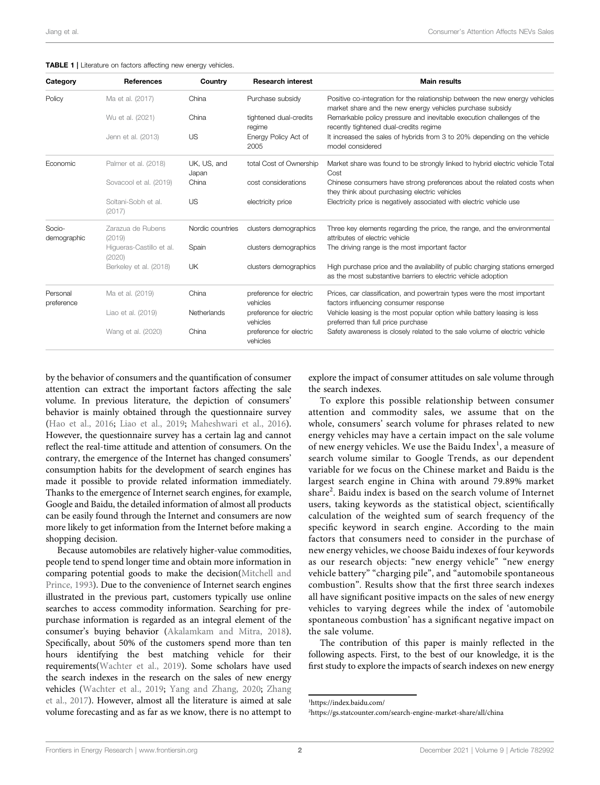<span id="page-2-0"></span>TABLE 1 | Literature on factors affecting new energy vehicles.

| Category               | <b>References</b>                  | Country              | <b>Research interest</b>            | <b>Main results</b>                                                                                                                           |
|------------------------|------------------------------------|----------------------|-------------------------------------|-----------------------------------------------------------------------------------------------------------------------------------------------|
| Policy                 | Ma et al. (2017)                   | China                | Purchase subsidy                    | Positive co-integration for the relationship between the new energy vehicles<br>market share and the new energy vehicles purchase subsidy     |
|                        | Wu et al. (2021)                   | China                | tightened dual-credits<br>regime    | Remarkable policy pressure and inevitable execution challenges of the<br>recently tightened dual-credits regime                               |
|                        | Jenn et al. (2013)                 | US                   | Energy Policy Act of<br>2005        | It increased the sales of hybrids from 3 to 20% depending on the vehicle<br>model considered                                                  |
| Economic               | Palmer et al. (2018)               | UK, US, and<br>Japan | total Cost of Ownership             | Market share was found to be strongly linked to hybrid electric vehicle Total<br>Cost                                                         |
|                        | Sovacool et al. (2019)             | China                | cost considerations                 | Chinese consumers have strong preferences about the related costs when<br>they think about purchasing electric vehicles                       |
|                        | Soltani-Sobh et al.<br>(2017)      | US                   | electricity price                   | Electricity price is negatively associated with electric vehicle use                                                                          |
| Socio-<br>demographic  | Zarazua de Rubens<br>(2019)        | Nordic countries     | clusters demographics               | Three key elements regarding the price, the range, and the environmental<br>attributes of electric vehicle                                    |
|                        | Higueras-Castillo et al.<br>(2020) | Spain                | clusters demographics               | The driving range is the most important factor                                                                                                |
|                        | Berkeley et al. (2018)             | <b>UK</b>            | clusters demographics               | High purchase price and the availability of public charging stations emerged<br>as the most substantive barriers to electric vehicle adoption |
| Personal<br>preference | Ma et al. (2019)                   | China                | preference for electric<br>vehicles | Prices, car classification, and powertrain types were the most important<br>factors influencing consumer response                             |
|                        | Liao et al. (2019)                 | Netherlands          | preference for electric<br>vehicles | Vehicle leasing is the most popular option while battery leasing is less<br>preferred than full price purchase                                |
|                        | Wang et al. (2020)                 | China                | preference for electric<br>vehicles | Safety awareness is closely related to the sale volume of electric vehicle                                                                    |

by the behavior of consumers and the quantification of consumer attention can extract the important factors affecting the sale volume. In previous literature, the depiction of consumers' behavior is mainly obtained through the questionnaire survey ([Hao et al., 2016;](#page-12-2) [Liao et al., 2019](#page-12-3); [Maheshwari et al., 2016\)](#page-12-4). However, the questionnaire survey has a certain lag and cannot reflect the real-time attitude and attention of consumers. On the contrary, the emergence of the Internet has changed consumers' consumption habits for the development of search engines has made it possible to provide related information immediately. Thanks to the emergence of Internet search engines, for example, Google and Baidu, the detailed information of almost all products can be easily found through the Internet and consumers are now more likely to get information from the Internet before making a shopping decision.

Because automobiles are relatively higher-value commodities, people tend to spend longer time and obtain more information in comparing potential goods to make the decision([Mitchell and](#page-12-5) [Prince, 1993](#page-12-5)). Due to the convenience of Internet search engines illustrated in the previous part, customers typically use online searches to access commodity information. Searching for prepurchase information is regarded as an integral element of the consumer's buying behavior [\(Akalamkam and Mitra, 2018\)](#page-12-6). Specifically, about 50% of the customers spend more than ten hours identifying the best matching vehicle for their requirements([Wachter et al., 2019](#page-13-4)). Some scholars have used the search indexes in the research on the sales of new energy vehicles [\(Wachter et al., 2019](#page-13-4); [Yang and Zhang, 2020;](#page-13-5) [Zhang](#page-13-6) [et al., 2017\)](#page-13-6). However, almost all the literature is aimed at sale volume forecasting and as far as we know, there is no attempt to

explore the impact of consumer attitudes on sale volume through the search indexes.

To explore this possible relationship between consumer attention and commodity sales, we assume that on the whole, consumers' search volume for phrases related to new energy vehicles may have a certain impact on the sale volume of new energy vehicles. We use the Baidu Index<sup>1</sup>, a measure of search volume similar to Google Trends, as our dependent variable for we focus on the Chinese market and Baidu is the largest search engine in China with around 79.89% market share<sup>2</sup>. Baidu index is based on the search volume of Internet users, taking keywords as the statistical object, scientifically calculation of the weighted sum of search frequency of the specific keyword in search engine. According to the main factors that consumers need to consider in the purchase of new energy vehicles, we choose Baidu indexes of four keywords as our research objects: "new energy vehicle" "new energy vehicle battery" "charging pile", and "automobile spontaneous combustion". Results show that the first three search indexes all have significant positive impacts on the sales of new energy vehicles to varying degrees while the index of 'automobile spontaneous combustion' has a significant negative impact on the sale volume.

The contribution of this paper is mainly reflected in the following aspects. First, to the best of our knowledge, it is the first study to explore the impacts of search indexes on new energy

1 <https://index.baidu.com/>

2 <https://gs.statcounter.com/search-engine-market-share/all/china>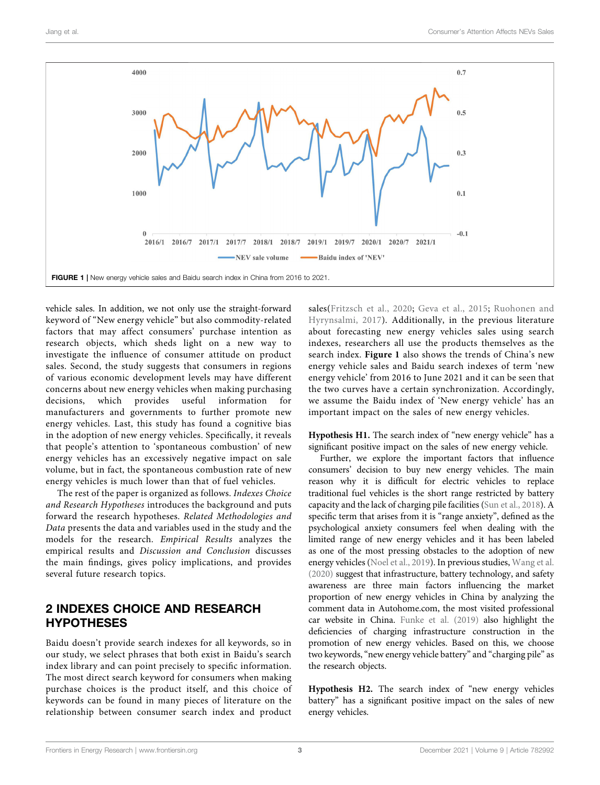

<span id="page-3-0"></span>vehicle sales. In addition, we not only use the straight-forward keyword of "New energy vehicle" but also commodity-related factors that may affect consumers' purchase intention as research objects, which sheds light on a new way to investigate the influence of consumer attitude on product sales. Second, the study suggests that consumers in regions of various economic development levels may have different concerns about new energy vehicles when making purchasing decisions, which provides useful information for manufacturers and governments to further promote new energy vehicles. Last, this study has found a cognitive bias in the adoption of new energy vehicles. Specifically, it reveals that people's attention to 'spontaneous combustion' of new energy vehicles has an excessively negative impact on sale volume, but in fact, the spontaneous combustion rate of new energy vehicles is much lower than that of fuel vehicles.

The rest of the paper is organized as follows. Indexes Choice and Research Hypotheses introduces the background and puts forward the research hypotheses. Related Methodologies and Data presents the data and variables used in the study and the models for the research. Empirical Results analyzes the empirical results and Discussion and Conclusion discusses the main findings, gives policy implications, and provides several future research topics.

# 2 INDEXES CHOICE AND RESEARCH HYPOTHESES

Baidu doesn't provide search indexes for all keywords, so in our study, we select phrases that both exist in Baidu's search index library and can point precisely to specific information. The most direct search keyword for consumers when making purchase choices is the product itself, and this choice of keywords can be found in many pieces of literature on the relationship between consumer search index and product

sales([Fritzsch et al., 2020](#page-12-12); [Geva et al., 2015](#page-12-13); [Ruohonen and](#page-13-13) [Hyrynsalmi, 2017\)](#page-13-13). Additionally, in the previous literature about forecasting new energy vehicles sales using search indexes, researchers all use the products themselves as the search index. [Figure 1](#page-3-0) also shows the trends of China's new energy vehicle sales and Baidu search indexes of term 'new energy vehicle' from 2016 to June 2021 and it can be seen that the two curves have a certain synchronization. Accordingly, we assume the Baidu index of 'New energy vehicle' has an important impact on the sales of new energy vehicles.

Hypothesis H1. The search index of "new energy vehicle" has a significant positive impact on the sales of new energy vehicle.

Further, we explore the important factors that influence consumers' decision to buy new energy vehicles. The main reason why it is difficult for electric vehicles to replace traditional fuel vehicles is the short range restricted by battery capacity and the lack of charging pile facilities ([Sun et al., 2018](#page-13-14)). A specific term that arises from it is "range anxiety", defined as the psychological anxiety consumers feel when dealing with the limited range of new energy vehicles and it has been labeled as one of the most pressing obstacles to the adoption of new energy vehicles ([Noel et al., 2019\)](#page-13-15). In previous studies, [Wang et al.](#page-13-12) [\(2020\)](#page-13-12) suggest that infrastructure, battery technology, and safety awareness are three main factors influencing the market proportion of new energy vehicles in China by analyzing the comment data in [Autohome.com](http://Autohome.com), the most visited professional car website in China. [Funke et al. \(2019\)](#page-12-14) also highlight the deficiencies of charging infrastructure construction in the promotion of new energy vehicles. Based on this, we choose two keywords,"new energy vehicle battery" and "charging pile" as the research objects.

Hypothesis H2. The search index of "new energy vehicles battery" has a significant positive impact on the sales of new energy vehicles.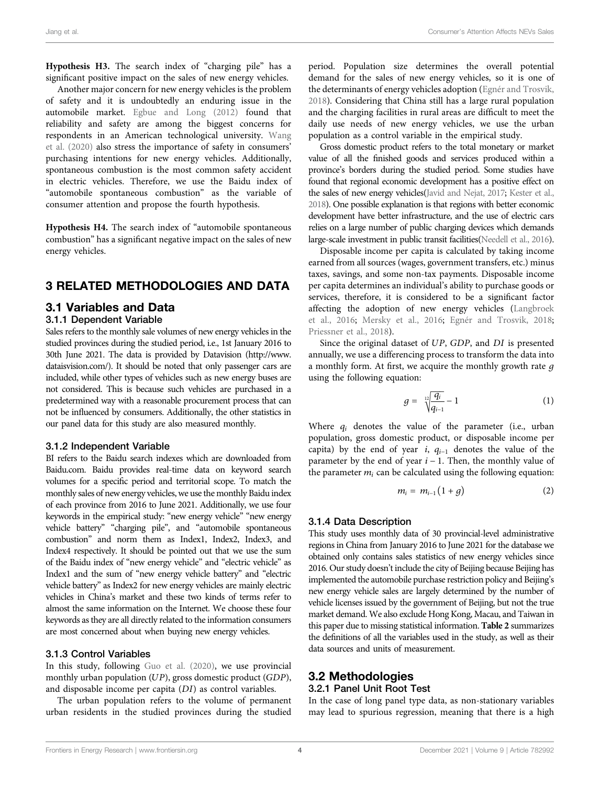Hypothesis H3. The search index of "charging pile" has a significant positive impact on the sales of new energy vehicles.

Another major concern for new energy vehicles is the problem of safety and it is undoubtedly an enduring issue in the automobile market. [Egbue and Long \(2012\)](#page-12-15) found that reliability and safety are among the biggest concerns for respondents in an American technological university. [Wang](#page-13-12) [et al. \(2020\)](#page-13-12) also stress the importance of safety in consumers' purchasing intentions for new energy vehicles. Additionally, spontaneous combustion is the most common safety accident in electric vehicles. Therefore, we use the Baidu index of "automobile spontaneous combustion" as the variable of consumer attention and propose the fourth hypothesis.

Hypothesis H4. The search index of "automobile spontaneous combustion" has a significant negative impact on the sales of new energy vehicles.

## 3 RELATED METHODOLOGIES AND DATA

#### 3.1 Variables and Data

## 3.1.1 Dependent Variable

Sales refers to the monthly sale volumes of new energy vehicles in the studied provinces during the studied period, i.e., 1st January 2016 to 30th June 2021. The data is provided by Datavision ([http://www.](http://www.dataisvision.com/) [dataisvision.com/](http://www.dataisvision.com/)). It should be noted that only passenger cars are included, while other types of vehicles such as new energy buses are not considered. This is because such vehicles are purchased in a predetermined way with a reasonable procurement process that can not be influenced by consumers. Additionally, the other statistics in our panel data for this study are also measured monthly.

#### 3.1.2 Independent Variable

BI refers to the Baidu search indexes which are downloaded from [Baidu.com.](http://Baidu.com) Baidu provides real-time data on keyword search volumes for a specific period and territorial scope. To match the monthly sales of new energy vehicles, we use the monthly Baidu index of each province from 2016 to June 2021. Additionally, we use four keywords in the empirical study: "new energy vehicle" "new energy vehicle battery" "charging pile", and "automobile spontaneous combustion" and norm them as Index1, Index2, Index3, and Index4 respectively. It should be pointed out that we use the sum of the Baidu index of "new energy vehicle" and "electric vehicle" as Index1 and the sum of "new energy vehicle battery" and "electric vehicle battery" as Index2 for new energy vehicles are mainly electric vehicles in China's market and these two kinds of terms refer to almost the same information on the Internet. We choose these four keywords as they are all directly related to the information consumers are most concerned about when buying new energy vehicles.

#### 3.1.3 Control Variables

In this study, following [Guo et al. \(2020\),](#page-12-16) we use provincial monthly urban population (UP), gross domestic product (GDP), and disposable income per capita (DI) as control variables.

The urban population refers to the volume of permanent urban residents in the studied provinces during the studied

period. Population size determines the overall potential demand for the sales of new energy vehicles, so it is one of the determinants of energy vehicles adoption ([Egnér and Trosvik,](#page-12-17) [2018](#page-12-17)). Considering that China still has a large rural population and the charging facilities in rural areas are difficult to meet the daily use needs of new energy vehicles, we use the urban population as a control variable in the empirical study.

Gross domestic product refers to the total monetary or market value of all the finished goods and services produced within a province's borders during the studied period. Some studies have found that regional economic development has a positive effect on the sales of new energy vehicles[\(Javid and Nejat, 2017;](#page-12-18) [Kester et al.,](#page-12-19) [2018](#page-12-19)). One possible explanation is that regions with better economic development have better infrastructure, and the use of electric cars relies on a large number of public charging devices which demands large-scale investment in public transit facilities([Needell et al., 2016\)](#page-13-16).

Disposable income per capita is calculated by taking income earned from all sources (wages, government transfers, etc.) minus taxes, savings, and some non-tax payments. Disposable income per capita determines an individual's ability to purchase goods or services, therefore, it is considered to be a significant factor affecting the adoption of new energy vehicles ([Langbroek](#page-12-20) [et al., 2016](#page-12-20); [Mersky et al., 2016](#page-12-21); [Egnér and Trosvik, 2018;](#page-12-17) [Priessner et al., 2018\)](#page-13-17).

Since the original dataset of UP, GDP, and DI is presented annually, we use a differencing process to transform the data into a monthly form. At first, we acquire the monthly growth rate  $g$ using the following equation:

$$
g = \sqrt[12]{\frac{q_i}{q_{i-1}}} - 1 \tag{1}
$$

Where  $q_i$  denotes the value of the parameter (i.e., urban population, gross domestic product, or disposable income per capita) by the end of year i,  $q_{i-1}$  denotes the value of the parameter by the end of year  $i - 1$ . Then, the monthly value of the parameter  $m_i$  can be calculated using the following equation:

$$
m_i = m_{i-1} \left( 1 + g \right) \tag{2}
$$

#### 3.1.4 Data Description

This study uses monthly data of 30 provincial-level administrative regions in China from January 2016 to June 2021 for the database we obtained only contains sales statistics of new energy vehicles since 2016. Our study doesn't include the city of Beijing because Beijing has implemented the automobile purchase restriction policy and Beijing's new energy vehicle sales are largely determined by the number of vehicle licenses issued by the government of Beijing, but not the true market demand. We also exclude Hong Kong, Macau, and Taiwan in this paper due to missing statistical information. [Table 2](#page-5-0) summarizes the definitions of all the variables used in the study, as well as their data sources and units of measurement.

#### 3.2 Methodologies 3.2.1 Panel Unit Root Test

In the case of long panel type data, as non-stationary variables may lead to spurious regression, meaning that there is a high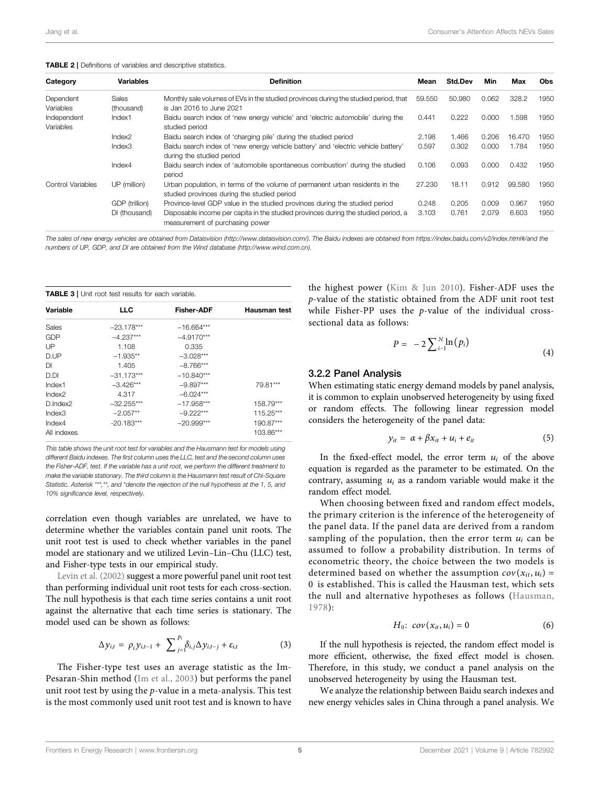<span id="page-5-0"></span>

| Category                              | <b>Variables</b>     | <b>Definition</b>                                                                                                             | Mean   | <b>Std.Dev</b> | Min   | Max    | <b>Obs</b> |
|---------------------------------------|----------------------|-------------------------------------------------------------------------------------------------------------------------------|--------|----------------|-------|--------|------------|
| Dependent                             | Sales                | Monthly sale volumes of EVs in the studied provinces during the studied period, that                                          | 59.550 | 50,980         | 0.062 | 328.2  | 1950       |
| Variables<br>Independent<br>Variables | (thousand)<br>Index1 | is Jan 2016 to June 2021<br>Baidu search index of 'new energy vehicle' and 'electric automobile' during the<br>studied period | 0.441  | 0.222          | 0.000 | 1.598  | 1950       |
|                                       | Index <sub>2</sub>   | Baidu search index of 'charging pile' during the studied period                                                               | 2.198  | 1.466          | 0.206 | 16.470 | 1950       |
|                                       | Index3               | Baidu search index of 'new energy vehicle battery' and 'electric vehicle battery'<br>during the studied period                | 0.597  | 0.302          | 0.000 | 1.784  | 1950       |
|                                       | Index4               | Baidu search index of 'automobile spontaneous combustion' during the studied<br>period                                        | 0.106  | 0.093          | 0.000 | 0.432  | 1950       |
| Control Variables                     | UP (million)         | Urban population, in terms of the volume of permanent urban residents in the<br>studied provinces during the studied period   | 27.230 | 18.11          | 0.912 | 99.580 | 1950       |
|                                       | GDP (trillion)       | Province-level GDP value in the studied provinces during the studied period                                                   | 0.248  | 0.205          | 0.009 | 0.967  | 1950       |
|                                       | DI (thousand)        | Disposable income per capita in the studied provinces during the studied period, a<br>measurement of purchasing power         | 3.103  | 0.761          | 2.079 | 6.603  | 1950       |

The sales of new energy vehicles are obtained from Dataisvision [\(http://www.dataisvision.com/\)](http://www.dataisvision.com/). The Baidu indexes are obtained from<https://index.baidu.com/v2/index.html#/>and the numbers of UP, GDP, and DI are obtained from the Wind database ([http://www.wind.com.cn\)](http://www.wind.com.cn).

<span id="page-5-1"></span>

|             | <b>TABLE 3</b>   Unit root test results for each variable. |                   |              |  |  |  |  |  |
|-------------|------------------------------------------------------------|-------------------|--------------|--|--|--|--|--|
| Variable    | <b>LLC</b>                                                 | <b>Fisher-ADF</b> | Hausman test |  |  |  |  |  |
| Sales       | $-23.178***$                                               | $-16.664***$      |              |  |  |  |  |  |
| GDP         | $-4.237***$                                                | $-4.9170***$      |              |  |  |  |  |  |
| UP          | 1.108                                                      | 0.335             |              |  |  |  |  |  |
| D.UP        | $-1.935**$                                                 | $-3.028***$       |              |  |  |  |  |  |
| DІ          | 1.405                                                      | $-8.766***$       |              |  |  |  |  |  |
| D.DI        | $-31.173***$                                               | $-10.840***$      |              |  |  |  |  |  |
| Index1      | $-3.426***$                                                | $-9.897***$       | 79.81***     |  |  |  |  |  |
| Index2      | 4.317                                                      | $-6.024***$       |              |  |  |  |  |  |
| D.Index2    | $-32.255***$                                               | $-17.958***$      | 158.79***    |  |  |  |  |  |
| Index3      | $-2.057**$                                                 | $-9.222***$       | 115.25***    |  |  |  |  |  |
| Index4      | $-20.183***$                                               | $-20.999***$      | 190.87***    |  |  |  |  |  |
| All indexes |                                                            |                   | 103.86***    |  |  |  |  |  |

This table shows the unit root test for variables and the Hausmann test for models using different Baidu indexes. The first column uses the LLC, test and the second column uses the Fisher-ADF, test. If the variable has a unit root, we perform the different treatment to make the variable stationary. The third column is the Hausmann test result of Chi-Square Statistic. Asterisk \*\*\*, \*\*, and \*denote the rejection of the null hypothesis at the 1, 5, and 10% significance level, respectively.

correlation even though variables are unrelated, we have to determine whether the variables contain panel unit roots. The unit root test is used to check whether variables in the panel model are stationary and we utilized Levin–Lin–Chu (LLC) test, and Fisher-type tests in our empirical study.

[Levin et al. \(2002\)](#page-12-22) suggest a more powerful panel unit root test than performing individual unit root tests for each cross-section. The null hypothesis is that each time series contains a unit root against the alternative that each time series is stationary. The model used can be shown as follows:

$$
\Delta y_{i,t} = \rho_i y_{i,t-1} + \sum_{j=1}^{p_i} \delta_{i,j} \Delta y_{i,t-j} + \varepsilon_{i,t}
$$
 (3)

The Fisher-type test uses an average statistic as the Im-Pesaran-Shin method ([Im et al., 2003\)](#page-12-23) but performs the panel unit root test by using the  $p$ -value in a meta-analysis. This test is the most commonly used unit root test and is known to have the highest power [\(Kim & Jun 2010](#page-12-24)). Fisher-ADF uses the p-value of the statistic obtained from the ADF unit root test while Fisher-PP uses the p-value of the individual crosssectional data as follows:

$$
P = -2 \sum_{i=1}^{N} \ln (p_i) \tag{4}
$$

#### 3.2.2 Panel Analysis

When estimating static energy demand models by panel analysis, it is common to explain unobserved heterogeneity by using fixed or random effects. The following linear regression model considers the heterogeneity of the panel data:

$$
y_{it} = \alpha + \beta x_{it} + u_i + e_{it} \tag{5}
$$

In the fixed-effect model, the error term  $u_i$  of the above equation is regarded as the parameter to be estimated. On the contrary, assuming  $u_i$  as a random variable would make it the random effect model.

When choosing between fixed and random effect models, the primary criterion is the inference of the heterogeneity of the panel data. If the panel data are derived from a random sampling of the population, then the error term  $u_i$  can be assumed to follow a probability distribution. In terms of econometric theory, the choice between the two models is determined based on whether the assumption  $cov(x_{it}, u_i)$  = 0 is established. This is called the Hausman test, which sets the null and alternative hypotheses as follows ([Hausman,](#page-12-25) [1978\)](#page-12-25):

$$
H_0: cov(x_{it}, u_i) = 0 \qquad (6)
$$

If the null hypothesis is rejected, the random effect model is more efficient, otherwise, the fixed effect model is chosen. Therefore, in this study, we conduct a panel analysis on the unobserved heterogeneity by using the Hausman test.

We analyze the relationship between Baidu search indexes and new energy vehicles sales in China through a panel analysis. We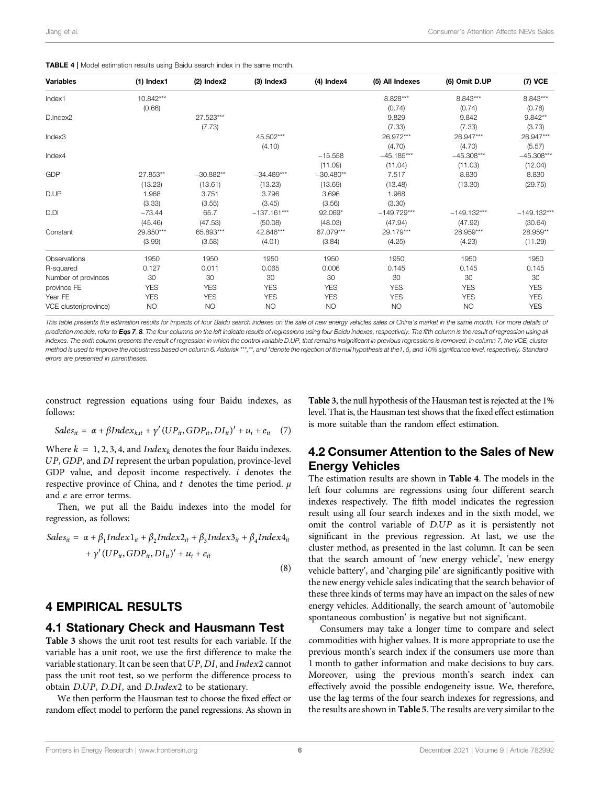<span id="page-6-0"></span>

|  |  |  |  | TABLE 4   Model estimation results using Baidu search index in the same month. |
|--|--|--|--|--------------------------------------------------------------------------------|
|--|--|--|--|--------------------------------------------------------------------------------|

| <b>Variables</b>      | $(1)$ Index1 | $(2)$ Index $2$ | $(3)$ Index $3$ | $(4)$ Index $4$ | (5) All Indexes | (6) Omit D.UP | (7) VCE       |
|-----------------------|--------------|-----------------|-----------------|-----------------|-----------------|---------------|---------------|
| Index1                | 10.842***    |                 |                 |                 | 8.828***        | 8.843***      | $8.843***$    |
|                       | (0.66)       |                 |                 |                 | (0.74)          | (0.74)        | (0.78)        |
| D.Index2              |              | 27.523***       |                 |                 | 9.829           | 9.842         | $9.842**$     |
|                       |              | (7.73)          |                 |                 | (7.33)          | (7.33)        | (3.73)        |
| Index3                |              |                 | 45.502***       |                 | 26.972***       | 26.947***     | 26.947***     |
|                       |              |                 | (4.10)          |                 | (4.70)          | (4.70)        | (5.57)        |
| Index4                |              |                 |                 | $-15.558$       | $-45.185***$    | $-45.308***$  | $-45.308***$  |
|                       |              |                 |                 | (11.09)         | (11.04)         | (11.03)       | (12.04)       |
| <b>GDP</b>            | 27.853**     | $-30.882**$     | $-34.489***$    | $-30.480**$     | 7.517           | 8.830         | 8.830         |
|                       | (13.23)      | (13.61)         | (13.23)         | (13.69)         | (13.48)         | (13.30)       | (29.75)       |
| D.UP                  | 1.968        | 3.751           | 3.796           | 3.696           | 1.968           |               |               |
|                       | (3.33)       | (3.55)          | (3.45)          | (3.56)          | (3.30)          |               |               |
| D.DI                  | $-73.44$     | 65.7            | $-137.161***$   | 92.069*         | $-149.729***$   | $-149.132***$ | $-149.132***$ |
|                       | (45.46)      | (47.53)         | (50.08)         | (48.03)         | (47.94)         | (47.92)       | (30.64)       |
| Constant              | 29.850***    | 65.893***       | 42.846***       | 67.079***       | 29.179***       | 28.959***     | 28.959**      |
|                       | (3.99)       | (3.58)          | (4.01)          | (3.84)          | (4.25)          | (4.23)        | (11.29)       |
| Observations          | 1950         | 1950            | 1950            | 1950            | 1950            | 1950          | 1950          |
| R-squared             | 0.127        | 0.011           | 0.065           | 0.006           | 0.145           | 0.145         | 0.145         |
| Number of provinces   | 30           | 30              | 30              | 30              | 30              | 30            | 30            |
| province FE           | <b>YES</b>   | <b>YES</b>      | <b>YES</b>      | <b>YES</b>      | <b>YES</b>      | <b>YES</b>    | <b>YES</b>    |
| Year FE               | <b>YES</b>   | <b>YES</b>      | <b>YES</b>      | <b>YES</b>      | <b>YES</b>      | <b>YES</b>    | <b>YES</b>    |
| VCE cluster(province) | <b>NO</b>    | <b>NO</b>       | <b>NO</b>       | <b>NO</b>       | <b>NO</b>       | <b>NO</b>     | <b>YES</b>    |

This table presents the estimation results for impacts of four Baidu search indexes on the sale of new energy vehicles sales of China's market in the same month. For more details of prediction models, refer to [Eqs 7](#page-6-1), [8](#page-6-2). The four columns on the left indicate results of regressions using four Baidu indexes, respectively. The fifth column is the result of regression using all indexes. The sixth column presents the result of regression in which the control variable D.UP, that remains insignificant in previous regressions is removed. In column 7, the VCE, cluster method is used to improve the robustness based on column 6. Asterisk \*\*\*,\*\*, and \*denote the rejection of the null hypothesis at the1, 5, and 10% significance level, respectively. Standard errors are presented in parentheses.

<span id="page-6-1"></span>construct regression equations using four Baidu indexes, as follows:

$$
Sales_{it} = \alpha + \beta Index_{k,it} + \gamma'(UP_{it}, GDP_{it}, DI_{it})' + u_i + e_{it} \quad (7)
$$

Where  $k = 1, 2, 3, 4$ , and *Index<sub>k</sub>* denotes the four Baidu indexes. UP, GDP, and DI represent the urban population, province-level GDP value, and deposit income respectively. i denotes the respective province of China, and t denotes the time period.  $\mu$ and e are error terms.

<span id="page-6-2"></span>Then, we put all the Baidu indexes into the model for regression, as follows:

$$
Sales_{it} = \alpha + \beta_1 Index1_{it} + \beta_2 Index2_{it} + \beta_3 Index3_{it} + \beta_4 Index4_{it}
$$
  
+  $\gamma'(UP_{it}, GDP_{it}, DI_{it})' + u_i + e_{it}$ 

#### (8)

## 4 EMPIRICAL RESULTS

## 4.1 Stationary Check and Hausmann Test

[Table 3](#page-5-1) shows the unit root test results for each variable. If the variable has a unit root, we use the first difference to make the variable stationary. It can be seen that UP, DI, and Index2 cannot pass the unit root test, so we perform the difference process to obtain D.UP, D.DI, and D.Index2 to be stationary.

We then perform the Hausman test to choose the fixed effect or random effect model to perform the panel regressions. As shown in

[Table 3](#page-5-1), the null hypothesis of the Hausman test is rejected at the 1% level. That is, the Hausman test shows that the fixed effect estimation is more suitable than the random effect estimation.

# 4.2 Consumer Attention to the Sales of New Energy Vehicles

The estimation results are shown in [Table 4](#page-6-0). The models in the left four columns are regressions using four different search indexes respectively. The fifth model indicates the regression result using all four search indexes and in the sixth model, we omit the control variable of D.UP as it is persistently not significant in the previous regression. At last, we use the cluster method, as presented in the last column. It can be seen that the search amount of 'new energy vehicle', 'new energy vehicle battery', and 'charging pile' are significantly positive with the new energy vehicle sales indicating that the search behavior of these three kinds of terms may have an impact on the sales of new energy vehicles. Additionally, the search amount of 'automobile spontaneous combustion' is negative but not significant.

Consumers may take a longer time to compare and select commodities with higher values. It is more appropriate to use the previous month's search index if the consumers use more than 1 month to gather information and make decisions to buy cars. Moreover, using the previous month's search index can effectively avoid the possible endogeneity issue. We, therefore, use the lag terms of the four search indexes for regressions, and the results are shown in [Table 5](#page-7-0). The results are very similar to the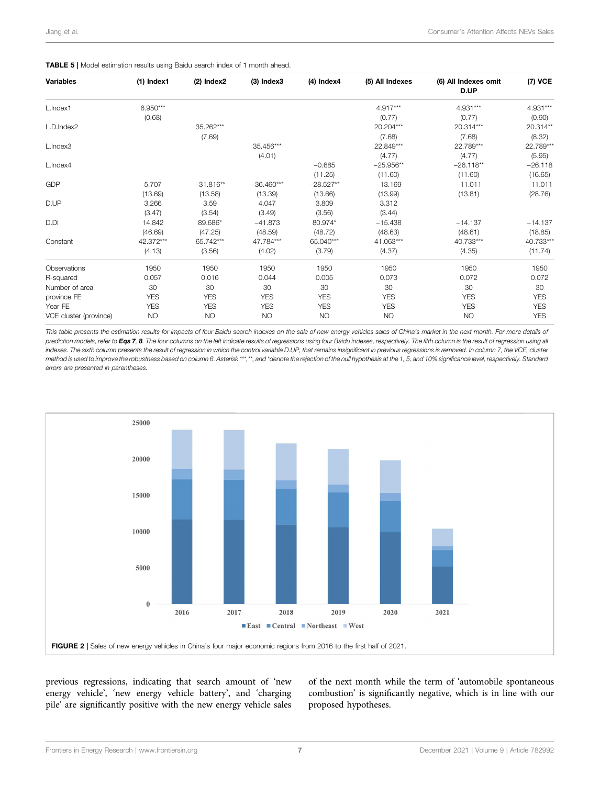#### <span id="page-7-0"></span>TABLE 5 | Model estimation results using Baidu search index of 1 month ahead.

| <b>Variables</b>       | $(1)$ Index1 | $(2)$ Index $2$ | $(3)$ Index $3$ | $(4)$ Index $4$ | (5) All Indexes | (6) All Indexes omit<br>D.UP | (7) VCE    |
|------------------------|--------------|-----------------|-----------------|-----------------|-----------------|------------------------------|------------|
| L.Index1               | $6.950***$   |                 |                 |                 | $4.917***$      | 4.931***                     | 4.931***   |
|                        | (0.68)       |                 |                 |                 | (0.77)          | (0.77)                       | (0.90)     |
| L.D.Index2             |              | 35.262***       |                 |                 | 20.204***       | 20.314***                    | 20.314**   |
|                        |              | (7.69)          |                 |                 | (7.68)          | (7.68)                       | (8.32)     |
| L.Index3               |              |                 | 35.456***       |                 | 22.849***       | 22.789***                    | 22.789***  |
|                        |              |                 | (4.01)          |                 | (4.77)          | (4.77)                       | (5.95)     |
| L.Index4               |              |                 |                 | $-0.685$        | $-25.956**$     | $-26.118**$                  | $-26.118$  |
|                        |              |                 |                 | (11.25)         | (11.60)         | (11.60)                      | (16.65)    |
| <b>GDP</b>             | 5.707        | $-31.816**$     | $-36.460***$    | $-28.527**$     | $-13.169$       | $-11.011$                    | $-11.011$  |
|                        | (13.69)      | (13.58)         | (13.39)         | (13.66)         | (13.99)         | (13.81)                      | (28.76)    |
| D.UP                   | 3.266        | 3.59            | 4.047           | 3.809           | 3.312           |                              |            |
|                        | (3.47)       | (3.54)          | (3.49)          | (3.56)          | (3.44)          |                              |            |
| D.DI                   | 14.842       | 89.686*         | $-41.873$       | 80.974*         | $-15.438$       | $-14.137$                    | $-14.137$  |
|                        | (46.69)      | (47.25)         | (48.59)         | (48.72)         | (48.63)         | (48.61)                      | (18.85)    |
| Constant               | 42.372***    | 65.742***       | 47.784***       | 65.040***       | 41.063***       | 40.733***                    | 40.733***  |
|                        | (4.13)       | (3.56)          | (4.02)          | (3.79)          | (4.37)          | (4.35)                       | (11.74)    |
| Observations           | 1950         | 1950            | 1950            | 1950            | 1950            | 1950                         | 1950       |
| R-squared              | 0.057        | 0.016           | 0.044           | 0.005           | 0.073           | 0.072                        | 0.072      |
| Number of area         | 30           | 30              | 30              | 30              | 30              | 30                           | 30         |
| province FE            | <b>YES</b>   | <b>YES</b>      | <b>YES</b>      | <b>YES</b>      | <b>YES</b>      | <b>YES</b>                   | <b>YES</b> |
| Year FE                | <b>YES</b>   | <b>YES</b>      | <b>YES</b>      | <b>YES</b>      | <b>YES</b>      | <b>YES</b>                   | <b>YES</b> |
| VCE cluster (province) | <b>NO</b>    | <b>NO</b>       | <b>NO</b>       | <b>NO</b>       | <b>NO</b>       | <b>NO</b>                    | <b>YES</b> |

This table presents the estimation results for impacts of four Baidu search indexes on the sale of new energy vehicles sales of China's market in the next month. For more details of prediction models, refer to [Eqs 7](#page-6-1), [8](#page-6-2). The four columns on the left indicate results of regressions using four Baidu indexes, respectively. The fifth column is the result of regression using all indexes. The sixth column presents the result of regression in which the control variable D.UP, that remains insignificant in previous regressions is removed. In column 7, the VCE, cluster method is used to improve the robustness based on column 6. Asterisk \*\*\*,\*\*, and \*denote the rejection of the null hypothesis at the 1, 5, and 10% significance level, respectively. Standard errors are presented in parentheses.



<span id="page-7-1"></span>previous regressions, indicating that search amount of 'new energy vehicle', 'new energy vehicle battery', and 'charging pile' are significantly positive with the new energy vehicle sales of the next month while the term of 'automobile spontaneous combustion' is significantly negative, which is in line with our proposed hypotheses.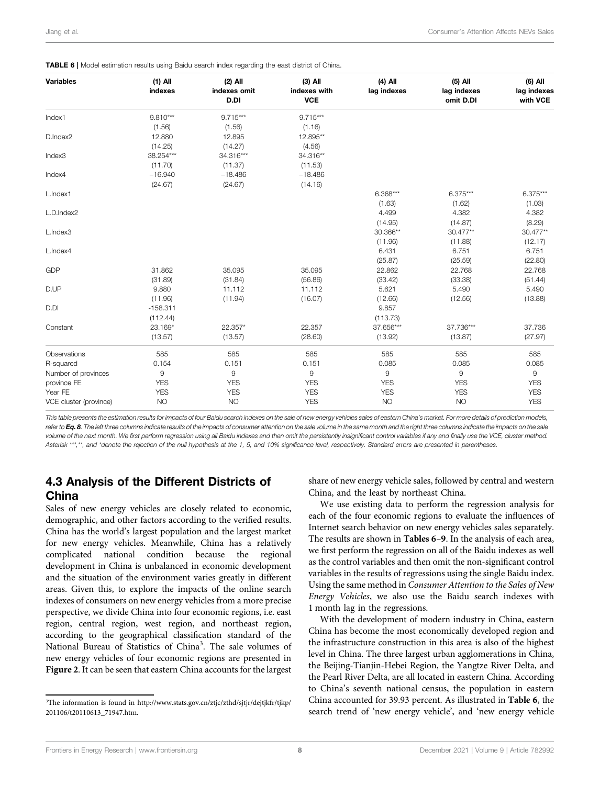| <b>Variables</b>       | $(1)$ All<br>indexes | $(2)$ All<br>indexes omit<br>D.DI | $(3)$ All<br>indexes with<br><b>VCE</b> | $(4)$ All<br>lag indexes | $(5)$ All<br>lag indexes<br>omit D.DI | (6) All<br>lag indexes<br>with VCE |
|------------------------|----------------------|-----------------------------------|-----------------------------------------|--------------------------|---------------------------------------|------------------------------------|
| Index1                 | $9.810***$           | $9.715***$                        | $9.715***$                              |                          |                                       |                                    |
|                        | (1.56)               | (1.56)                            | (1.16)                                  |                          |                                       |                                    |
| D.Index2               | 12.880               | 12.895                            | 12.895**                                |                          |                                       |                                    |
|                        | (14.25)              | (14.27)                           | (4.56)                                  |                          |                                       |                                    |
| Index3                 | 38.254***            | 34.316***                         | 34.316**                                |                          |                                       |                                    |
|                        | (11.70)              | (11.37)                           | (11.53)                                 |                          |                                       |                                    |
| Index4                 | $-16.940$            | $-18.486$                         | $-18.486$                               |                          |                                       |                                    |
|                        | (24.67)              | (24.67)                           | (14.16)                                 |                          |                                       |                                    |
| L.Index1               |                      |                                   |                                         | $6.368***$               | $6.375***$                            | $6.375***$                         |
|                        |                      |                                   |                                         | (1.63)                   | (1.62)                                | (1.03)                             |
| L.D.Index2             |                      |                                   |                                         | 4.499                    | 4.382                                 | 4.382                              |
|                        |                      |                                   |                                         | (14.95)                  | (14.87)                               | (8.29)                             |
| L.Index3               |                      |                                   |                                         | 30.366**                 | 30.477**                              | 30.477**                           |
|                        |                      |                                   |                                         | (11.96)                  | (11.88)                               | (12.17)                            |
| L.Index4               |                      |                                   |                                         | 6.431                    | 6.751                                 | 6.751                              |
|                        |                      |                                   |                                         | (25.87)                  | (25.59)                               | (22.80)                            |
| <b>GDP</b>             | 31.862               | 35.095                            | 35.095                                  | 22.862                   | 22.768                                | 22.768                             |
|                        | (31.89)              | (31.84)                           | (56.86)                                 | (33.42)                  | (33.38)                               | (51.44)                            |
| D.UP                   | 9.880                | 11.112                            | 11.112                                  | 5.621                    | 5.490                                 | 5.490                              |
|                        | (11.96)              | (11.94)                           | (16.07)                                 | (12.66)                  | (12.56)                               | (13.88)                            |
| D.DI                   | $-158.311$           |                                   |                                         | 9.857                    |                                       |                                    |
|                        | (112.44)             |                                   |                                         | (113.73)                 |                                       |                                    |
| Constant               | 23.169*              | 22.357*                           | 22.357                                  | 37.656***                | 37.736***                             | 37.736                             |
|                        | (13.57)              | (13.57)                           | (28.60)                                 | (13.92)                  | (13.87)                               | (27.97)                            |
| Observations           | 585                  | 585                               | 585                                     | 585                      | 585                                   | 585                                |
| R-squared              | 0.154                | 0.151                             | 0.151                                   | 0.085                    | 0.085                                 | 0.085                              |
| Number of provinces    | 9                    | $\mathsf g$                       | 9                                       | 9                        | 9                                     | 9                                  |
| province FE            | <b>YES</b>           | <b>YES</b>                        | <b>YES</b>                              | <b>YES</b>               | <b>YES</b>                            | <b>YES</b>                         |
| Year FE                | <b>YES</b>           | <b>YES</b>                        | <b>YES</b>                              | <b>YES</b>               | <b>YES</b>                            | <b>YES</b>                         |
| VCE cluster (province) | <b>NO</b>            | <b>NO</b>                         | <b>YES</b>                              | <b>NO</b>                | <b>NO</b>                             | <b>YES</b>                         |

<span id="page-8-0"></span>TABLE 6 | Model estimation results using Baidu search index regarding the east district of China.

This table presents the estimation results for impacts of four Baidu search indexes on the sale of new energy vehicles sales of eastern China's market. For more details of prediction models, refer to  $Ea.8$ . The left three columns indicate results of the impacts of consumer attention on the sale volume in the same month and the right three columns indicate the impacts on the sale volume of the next month. We first perform regression using all Baidu indexes and then omit the persistently insignificant control variables if any and finally use the VCE, cluster method. Asterisk \*\*\*,\*\*, and \*denote the rejection of the null hypothesis at the 1, 5, and 10% significance level, respectively. Standard errors are presented in parentheses.

# 4.3 Analysis of the Different Districts of China

Sales of new energy vehicles are closely related to economic, demographic, and other factors according to the verified results. China has the world's largest population and the largest market for new energy vehicles. Meanwhile, China has a relatively complicated national condition because the regional development in China is unbalanced in economic development and the situation of the environment varies greatly in different areas. Given this, to explore the impacts of the online search indexes of consumers on new energy vehicles from a more precise perspective, we divide China into four economic regions, i.e. east region, central region, west region, and northeast region, according to the geographical classification standard of the National Bureau of Statistics of China<sup>3</sup>. The sale volumes of new energy vehicles of four economic regions are presented in [Figure 2](#page-7-1). It can be seen that eastern China accounts for the largest

share of new energy vehicle sales, followed by central and western China, and the least by northeast China.

We use existing data to perform the regression analysis for each of the four economic regions to evaluate the influences of Internet search behavior on new energy vehicles sales separately. The results are shown in [Tables 6](#page-8-0)–[9](#page-11-0). In the analysis of each area, we first perform the regression on all of the Baidu indexes as well as the control variables and then omit the non-significant control variables in the results of regressions using the single Baidu index. Using the same method in Consumer Attention to the Sales of New Energy Vehicles, we also use the Baidu search indexes with 1 month lag in the regressions.

With the development of modern industry in China, eastern China has become the most economically developed region and the infrastructure construction in this area is also of the highest level in China. The three largest urban agglomerations in China, the Beijing-Tianjin-Hebei Region, the Yangtze River Delta, and the Pearl River Delta, are all located in eastern China. According to China's seventh national census, the population in eastern China accounted for 39.93 percent. As illustrated in [Table 6](#page-8-0), the search trend of 'new energy vehicle', and 'new energy vehicle

<sup>&</sup>lt;sup>3</sup>The information is found in [http://www.stats.gov.cn/ztjc/zthd/sjtjr/dejtjkfr/tjkp/](http://www.stats.gov.cn/ztjc/zthd/sjtjr/dejtjkfr/tjkp/201106/t20110613_71947.htm) [201106/t20110613\\_71947.htm.](http://www.stats.gov.cn/ztjc/zthd/sjtjr/dejtjkfr/tjkp/201106/t20110613_71947.htm)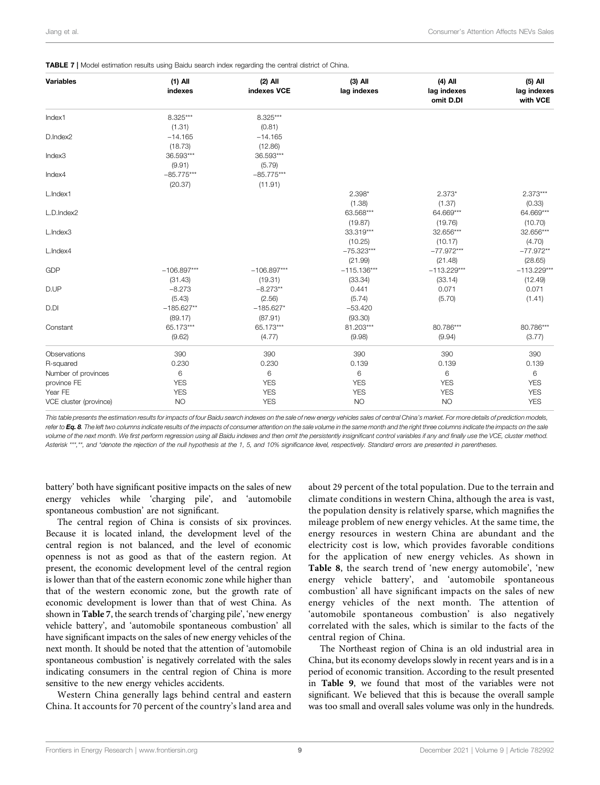| <b>Variables</b>       | $(1)$ All<br>indexes | $(2)$ All<br>indexes VCE | $(3)$ All<br>lag indexes | $(4)$ All<br>lag indexes<br>omit D.DI | $(5)$ All<br>lag indexes<br>with VCE |
|------------------------|----------------------|--------------------------|--------------------------|---------------------------------------|--------------------------------------|
| Index1                 | 8.325***             | 8.325***                 |                          |                                       |                                      |
|                        | (1.31)               | (0.81)                   |                          |                                       |                                      |
| D.Index2               | $-14.165$            | $-14.165$                |                          |                                       |                                      |
|                        | (18.73)              | (12.86)                  |                          |                                       |                                      |
| Index3                 | 36.593***            | 36.593***                |                          |                                       |                                      |
|                        | (9.91)               | (5.79)                   |                          |                                       |                                      |
| Index4                 | $-85.775***$         | $-85.775***$             |                          |                                       |                                      |
|                        | (20.37)              | (11.91)                  |                          |                                       |                                      |
| L.Index1               |                      |                          | $2.398*$                 | $2.373*$                              | $2.373***$                           |
|                        |                      |                          | (1.38)                   | (1.37)                                | (0.33)                               |
| L.D.Index2             |                      |                          | 63.568***                | 64.669***                             | 64.669***                            |
|                        |                      |                          | (19.87)                  | (19.76)                               | (10.70)                              |
| L.Index3               |                      |                          | 33.319***                | 32.656***                             | 32.656***                            |
|                        |                      |                          | (10.25)                  | (10.17)                               | (4.70)                               |
| L.Index4               |                      |                          | $-75.323***$             | $-77.972***$                          | $-77.972**$                          |
|                        |                      |                          | (21.99)                  | (21.48)                               | (28.65)                              |
| <b>GDP</b>             | $-106.897***$        | $-106.897***$            | $-115.136***$            | $-113.229***$                         | $-113.229***$                        |
|                        | (31.43)              | (19.31)                  | (33.34)                  | (33.14)                               | (12.49)                              |
| D.UP                   | $-8.273$             | $-8.273**$               | 0.441                    | 0.071                                 | 0.071                                |
|                        | (5.43)               | (2.56)                   | (5.74)                   | (5.70)                                | (1.41)                               |
| D.DI                   | $-185.627**$         | $-185.627*$              | $-53.420$                |                                       |                                      |
|                        | (89.17)              | (87.91)                  | (93.30)                  |                                       |                                      |
| Constant               | 65.173***            | 65.173***                | 81.203***                | 80.786***                             | 80.786***                            |
|                        | (9.62)               | (4.77)                   | (9.98)                   | (9.94)                                | (3.77)                               |
| Observations           | 390                  | 390                      | 390                      | 390                                   | 390                                  |
| R-squared              | 0.230                | 0.230                    | 0.139                    | 0.139                                 | 0.139                                |
| Number of provinces    | 6                    | 6                        | 6                        | 6                                     | 6                                    |
| province FE            | <b>YES</b>           | <b>YES</b>               | <b>YES</b>               | <b>YES</b>                            | <b>YES</b>                           |
| Year FE                | <b>YES</b>           | <b>YES</b>               | <b>YES</b>               | <b>YES</b>                            | <b>YES</b>                           |
| VCE cluster (province) | <b>NO</b>            | <b>YES</b>               | <b>NO</b>                | <b>NO</b>                             | <b>YES</b>                           |

<span id="page-9-0"></span>

This table presents the estimation results for impacts of four Baidu search indexes on the sale of new energy vehicles sales of central China's market. For more details of prediction models, refer to  $Ea.8$ . The left two columns indicate results of the impacts of consumer attention on the sale volume in the same month and the right three columns indicate the impacts on the sale volume of the next month. We first perform regression using all Baidu indexes and then omit the persistently insignificant control variables if any and finally use the VCE, cluster method. Asterisk \*\*\*,\*\*, and \*denote the rejection of the null hypothesis at the 1, 5, and 10% significance level, respectively. Standard errors are presented in parentheses.

battery' both have significant positive impacts on the sales of new energy vehicles while 'charging pile', and 'automobile spontaneous combustion' are not significant.

The central region of China is consists of six provinces. Because it is located inland, the development level of the central region is not balanced, and the level of economic openness is not as good as that of the eastern region. At present, the economic development level of the central region is lower than that of the eastern economic zone while higher than that of the western economic zone, but the growth rate of economic development is lower than that of west China. As shown in [Table 7](#page-9-0), the search trends of 'charging pile', 'new energy vehicle battery', and 'automobile spontaneous combustion' all have significant impacts on the sales of new energy vehicles of the next month. It should be noted that the attention of 'automobile spontaneous combustion' is negatively correlated with the sales indicating consumers in the central region of China is more sensitive to the new energy vehicles accidents.

Western China generally lags behind central and eastern China. It accounts for 70 percent of the country's land area and about 29 percent of the total population. Due to the terrain and climate conditions in western China, although the area is vast, the population density is relatively sparse, which magnifies the mileage problem of new energy vehicles. At the same time, the energy resources in western China are abundant and the electricity cost is low, which provides favorable conditions for the application of new energy vehicles. As shown in [Table 8](#page-10-0), the search trend of 'new energy automobile', 'new energy vehicle battery', and 'automobile spontaneous combustion' all have significant impacts on the sales of new energy vehicles of the next month. The attention of 'automobile spontaneous combustion' is also negatively correlated with the sales, which is similar to the facts of the central region of China.

The Northeast region of China is an old industrial area in China, but its economy develops slowly in recent years and is in a period of economic transition. According to the result presented in [Table 9](#page-11-0), we found that most of the variables were not significant. We believed that this is because the overall sample was too small and overall sales volume was only in the hundreds.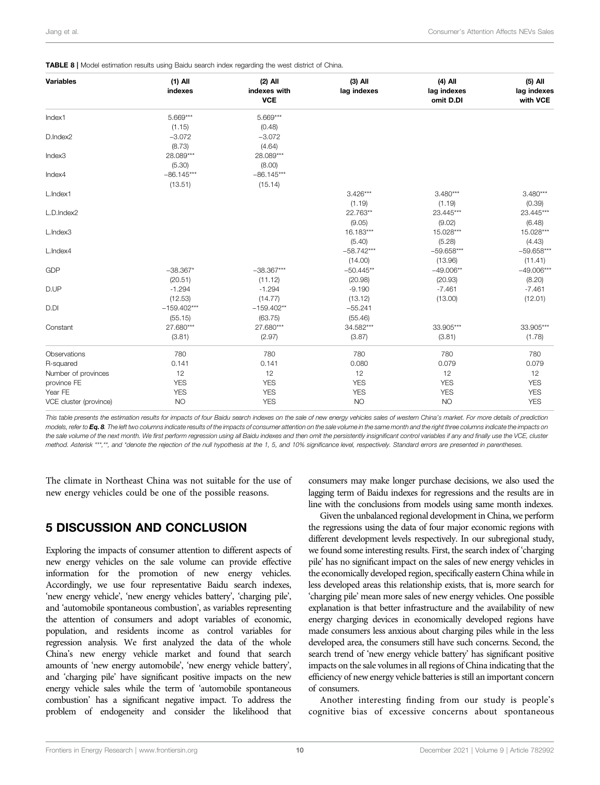<span id="page-10-0"></span>

| <b>Variables</b>       | $(1)$ All<br>indexes | $(2)$ All<br>indexes with | $(3)$ All<br>lag indexes | $(4)$ All<br>lag indexes | $(5)$ All<br>lag indexes |
|------------------------|----------------------|---------------------------|--------------------------|--------------------------|--------------------------|
|                        |                      | <b>VCE</b>                |                          | omit D.DI                | with VCE                 |
| Index1                 | $5.669***$           | $5.669***$                |                          |                          |                          |
|                        | (1.15)               | (0.48)                    |                          |                          |                          |
| D.Index2               | $-3.072$             | $-3.072$                  |                          |                          |                          |
|                        | (8.73)               | (4.64)                    |                          |                          |                          |
| Index3                 | 28.089***            | 28.089***                 |                          |                          |                          |
|                        | (5.30)               | (8.00)                    |                          |                          |                          |
| Index4                 | $-86.145***$         | $-86.145***$              |                          |                          |                          |
|                        | (13.51)              | (15.14)                   |                          |                          |                          |
| L.Index1               |                      |                           | $3.426***$               | $3.480***$               | $3.480***$               |
|                        |                      |                           | (1.19)                   | (1.19)                   | (0.39)                   |
| L.D.Index2             |                      |                           | 22.763**                 | 23.445***                | 23.445***                |
|                        |                      |                           | (9.05)                   | (9.02)                   | (6.48)                   |
| L.Index3               |                      |                           | 16.183***                | 15.028***                | 15.028***                |
|                        |                      |                           | (5.40)                   | (5.28)                   | (4.43)                   |
| L.Index4               |                      |                           | $-58.742***$             | $-59.658***$             | $-59.658***$             |
|                        |                      |                           | (14.00)                  | (13.96)                  | (11.41)                  |
| <b>GDP</b>             | $-38.367*$           | $-38.367***$              | $-50.445**$              | $-49.006**$              | $-49.006***$             |
|                        | (20.51)              | (11.12)                   | (20.98)                  | (20.93)                  | (8.20)                   |
| D.UP                   | $-1.294$             | $-1.294$                  | $-9.190$                 | $-7.461$                 | $-7.461$                 |
|                        | (12.53)              | (14.77)                   | (13.12)                  | (13.00)                  | (12.01)                  |
| D.DI                   | $-159.402***$        | $-159.402**$              | $-55.241$                |                          |                          |
|                        | (55.15)              | (63.75)                   | (55.46)                  |                          |                          |
| Constant               | 27.680***            | 27.680***                 | 34.582***                | 33.905***                | 33.905***                |
|                        | (3.81)               | (2.97)                    | (3.87)                   | (3.81)                   | (1.78)                   |
|                        |                      |                           |                          |                          |                          |
| Observations           | 780                  | 780                       | 780                      | 780                      | 780                      |
| R-squared              | 0.141                | 0.141                     | 0.080                    | 0.079                    | 0.079                    |
| Number of provinces    | 12                   | 12                        | 12                       | 12                       | 12                       |
| province FE            | <b>YES</b>           | <b>YES</b>                | <b>YES</b>               | <b>YES</b>               | <b>YES</b>               |
| Year FE                | <b>YES</b>           | <b>YES</b>                | <b>YES</b>               | <b>YES</b>               | <b>YES</b>               |
| VCE cluster (province) | NO                   | <b>YES</b>                | <b>NO</b>                | <b>NO</b>                | <b>YES</b>               |

This table presents the estimation results for impacts of four Baidu search indexes on the sale of new energy vehicles sales of western China's market. For more details of prediction models, refer to Ea, 8. The left two columns indicate results of the impacts of consumer attention on the sale volume in the same month and the right three columns indicate the impacts on the sale volume of the next month. We first perform regression using all Baidu indexes and then omit the persistently insignificant control variables if any and finally use the VCE, cluster method. Asterisk \*\*\*,\*\*, and \*denote the rejection of the null hypothesis at the 1, 5, and 10% significance level, respectively. Standard errors are presented in parentheses.

The climate in Northeast China was not suitable for the use of new energy vehicles could be one of the possible reasons.

# 5 DISCUSSION AND CONCLUSION

Exploring the impacts of consumer attention to different aspects of new energy vehicles on the sale volume can provide effective information for the promotion of new energy vehicles. Accordingly, we use four representative Baidu search indexes, 'new energy vehicle', 'new energy vehicles battery', 'charging pile', and 'automobile spontaneous combustion', as variables representing the attention of consumers and adopt variables of economic, population, and residents income as control variables for regression analysis. We first analyzed the data of the whole China's new energy vehicle market and found that search amounts of 'new energy automobile', 'new energy vehicle battery', and 'charging pile' have significant positive impacts on the new energy vehicle sales while the term of 'automobile spontaneous combustion' has a significant negative impact. To address the problem of endogeneity and consider the likelihood that

consumers may make longer purchase decisions, we also used the lagging term of Baidu indexes for regressions and the results are in line with the conclusions from models using same month indexes.

Given the unbalanced regional development in China, we perform the regressions using the data of four major economic regions with different development levels respectively. In our subregional study, we found some interesting results. First, the search index of 'charging pile' has no significant impact on the sales of new energy vehicles in the economically developed region, specifically eastern China while in less developed areas this relationship exists, that is, more search for 'charging pile' mean more sales of new energy vehicles. One possible explanation is that better infrastructure and the availability of new energy charging devices in economically developed regions have made consumers less anxious about charging piles while in the less developed area, the consumers still have such concerns. Second, the search trend of 'new energy vehicle battery' has significant positive impacts on the sale volumes in all regions of China indicating that the efficiency of new energy vehicle batteries is still an important concern of consumers.

Another interesting finding from our study is people's cognitive bias of excessive concerns about spontaneous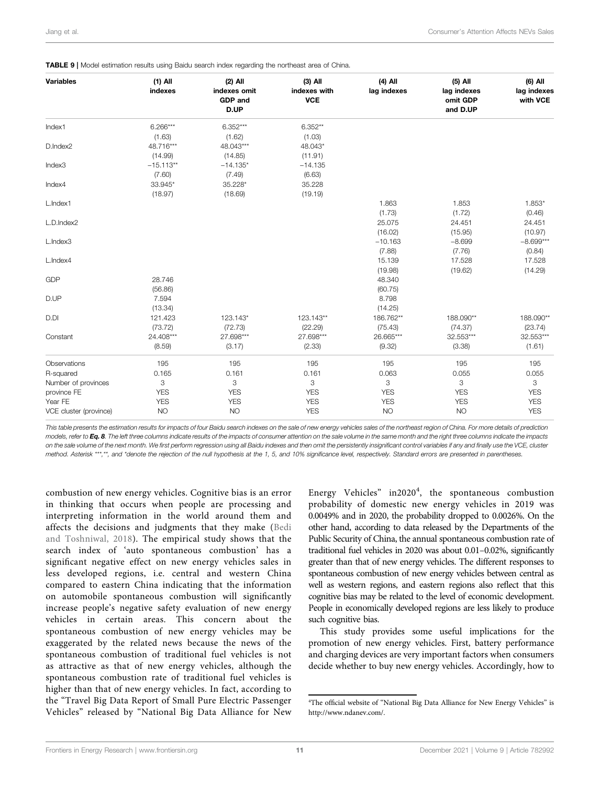| <b>Variables</b>       | $(1)$ All<br>indexes | $(2)$ All<br>indexes omit<br><b>GDP</b> and<br>D.UP | $(3)$ All<br>indexes with<br><b>VCE</b> | $(4)$ All<br>lag indexes | $(5)$ All<br>lag indexes<br>omit GDP<br>and D.UP | (6) All<br>lag indexes<br>with VCE |
|------------------------|----------------------|-----------------------------------------------------|-----------------------------------------|--------------------------|--------------------------------------------------|------------------------------------|
| Index1                 | $6.266***$           | $6.352***$                                          | $6.352**$                               |                          |                                                  |                                    |
|                        | (1.63)               | (1.62)                                              | (1.03)                                  |                          |                                                  |                                    |
| D.Index2               | 48.716***            | 48.043***                                           | 48.043*                                 |                          |                                                  |                                    |
|                        | (14.99)              | (14.85)                                             | (11.91)                                 |                          |                                                  |                                    |
| Index3                 | $-15.113**$          | $-14.135*$                                          | $-14.135$                               |                          |                                                  |                                    |
|                        | (7.60)               | (7.49)                                              | (6.63)                                  |                          |                                                  |                                    |
| Index4                 | 33.945*              | 35.228*                                             | 35.228                                  |                          |                                                  |                                    |
|                        | (18.97)              | (18.69)                                             | (19.19)                                 |                          |                                                  |                                    |
| L.Index1               |                      |                                                     |                                         | 1.863                    | 1.853                                            | 1.853*                             |
|                        |                      |                                                     |                                         | (1.73)                   | (1.72)                                           | (0.46)                             |
| L.D.Index2             |                      |                                                     |                                         | 25.075                   | 24.451                                           | 24.451                             |
|                        |                      |                                                     |                                         | (16.02)                  | (15.95)                                          | (10.97)                            |
| L.Index3               |                      |                                                     |                                         | $-10.163$                | $-8.699$                                         | $-8.699***$                        |
|                        |                      |                                                     |                                         | (7.88)                   | (7.76)                                           | (0.84)                             |
| L.Index4               |                      |                                                     |                                         | 15.139                   | 17.528                                           | 17.528                             |
|                        |                      |                                                     |                                         | (19.98)                  | (19.62)                                          | (14.29)                            |
| <b>GDP</b>             | 28.746               |                                                     |                                         | 48.340                   |                                                  |                                    |
|                        | (56.86)              |                                                     |                                         | (60.75)                  |                                                  |                                    |
| D.UP                   | 7.594                |                                                     |                                         | 8.798                    |                                                  |                                    |
|                        | (13.34)              |                                                     |                                         | (14.25)                  |                                                  |                                    |
| D.DI                   | 121.423              | 123.143*                                            | 123.143**                               | 186.762**                | 188.090**                                        | 188.090**                          |
|                        | (73.72)              | (72.73)                                             | (22.29)                                 | (75.43)                  | (74.37)                                          | (23.74)                            |
| Constant               | 24.408***            | 27.698***                                           | 27.698***                               | 26.665***                | 32.553***                                        | 32.553***                          |
|                        | (8.59)               | (3.17)                                              | (2.33)                                  | (9.32)                   | (3.38)                                           | (1.61)                             |
| Observations           | 195                  | 195                                                 | 195                                     | 195                      | 195                                              | 195                                |
| R-squared              | 0.165                | 0.161                                               | 0.161                                   | 0.063                    | 0.055                                            | 0.055                              |
| Number of provinces    | 3                    | 3                                                   | 3                                       | 3                        | 3                                                | 3                                  |
| province FE            | <b>YES</b>           | <b>YES</b>                                          | <b>YES</b>                              | <b>YES</b>               | <b>YES</b>                                       | <b>YES</b>                         |
| Year FE                | <b>YES</b>           | <b>YES</b>                                          | <b>YES</b>                              | <b>YES</b>               | <b>YES</b>                                       | <b>YES</b>                         |
| VCE cluster (province) | <b>NO</b>            | <b>NO</b>                                           | <b>YES</b>                              | <b>NO</b>                | <b>NO</b>                                        | <b>YES</b>                         |

#### <span id="page-11-0"></span>**TABLE 9 | Model estimation results using Baidu search index regarding the northeast area of China.**

This table presents the estimation results for impacts of four Baidu search indexes on the sale of new energy vehicles sales of the northeast region of China. For more details of prediction models, refer to [Eq. 8](#page-6-2). The left three columns indicate results of the impacts of consumer attention on the sale volume in the same month and the right three columns indicate the impacts on the sale volume of the next month. We first perform regression using all Baidu indexes and then omit the persistently insignificant control variables if any and finally use the VCE, cluster method. Asterisk \*\*\*,\*\*, and \*denote the rejection of the null hypothesis at the 1, 5, and 10% significance level, respectively. Standard errors are presented in parentheses.

combustion of new energy vehicles. Cognitive bias is an error in thinking that occurs when people are processing and interpreting information in the world around them and affects the decisions and judgments that they make ([Bedi](#page-12-26) [and Toshniwal, 2018](#page-12-26)). The empirical study shows that the search index of 'auto spontaneous combustion' has a significant negative effect on new energy vehicles sales in less developed regions, i.e. central and western China compared to eastern China indicating that the information on automobile spontaneous combustion will significantly increase people's negative safety evaluation of new energy vehicles in certain areas. This concern about the spontaneous combustion of new energy vehicles may be exaggerated by the related news because the news of the spontaneous combustion of traditional fuel vehicles is not as attractive as that of new energy vehicles, although the spontaneous combustion rate of traditional fuel vehicles is higher than that of new energy vehicles. In fact, according to the "Travel Big Data Report of Small Pure Electric Passenger Vehicles" released by "National Big Data Alliance for New

Energy Vehicles" in2020<sup>4</sup>, the spontaneous combustion probability of domestic new energy vehicles in 2019 was 0.0049% and in 2020, the probability dropped to 0.0026%. On the other hand, according to data released by the Departments of the Public Security of China, the annual spontaneous combustion rate of traditional fuel vehicles in 2020 was about 0.01–0.02%, significantly greater than that of new energy vehicles. The different responses to spontaneous combustion of new energy vehicles between central as well as western regions, and eastern regions also reflect that this cognitive bias may be related to the level of economic development. People in economically developed regions are less likely to produce such cognitive bias.

This study provides some useful implications for the promotion of new energy vehicles. First, battery performance and charging devices are very important factors when consumers decide whether to buy new energy vehicles. Accordingly, how to

<sup>4</sup> The official website of "National Big Data Alliance for New Energy Vehicles" is [http://www.ndanev.com/.](http://www.ndanev.com/)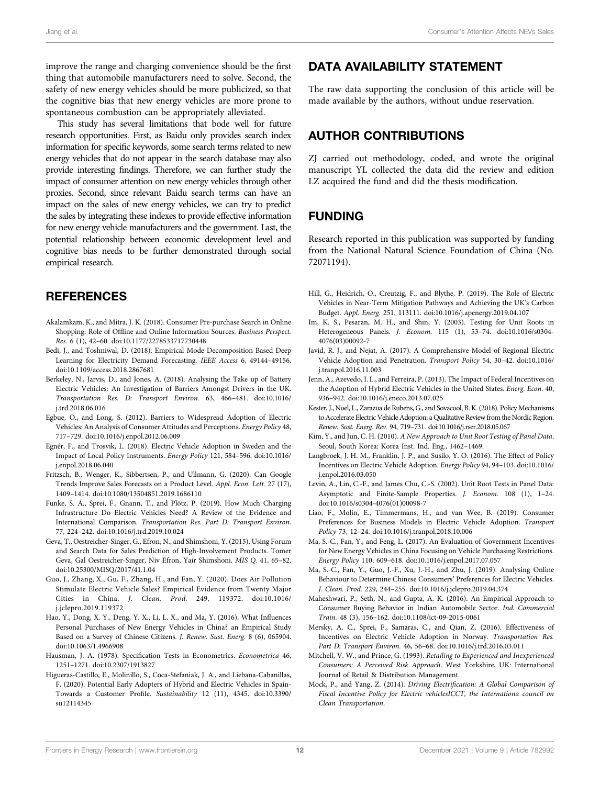improve the range and charging convenience should be the first thing that automobile manufacturers need to solve. Second, the safety of new energy vehicles should be more publicized, so that the cognitive bias that new energy vehicles are more prone to spontaneous combustion can be appropriately alleviated.

This study has several limitations that bode well for future research opportunities. First, as Baidu only provides search index information for specific keywords, some search terms related to new energy vehicles that do not appear in the search database may also provide interesting findings. Therefore, we can further study the impact of consumer attention on new energy vehicles through other proxies. Second, since relevant Baidu search terms can have an impact on the sales of new energy vehicles, we can try to predict the sales by integrating these indexes to provide effective information for new energy vehicle manufacturers and the government. Last, the potential relationship between economic development level and cognitive bias needs to be further demonstrated through social empirical research.

# **REFERENCES**

- <span id="page-12-6"></span>Akalamkam, K., and Mitra, J. K. (2018). Consumer Pre-purchase Search in Online Shopping: Role of Offline and Online Information Sources. Business Perspect. Res. 6 (1), 42–60. doi:[10.1177/2278533717730448](https://doi.org/10.1177/2278533717730448)
- <span id="page-12-26"></span>Bedi, J., and Toshniwal, D. (2018). Empirical Mode Decomposition Based Deep Learning for Electricity Demand Forecasting. IEEE Access 6, 49144–49156. doi:[10.1109/access.2018.2867681](https://doi.org/10.1109/access.2018.2867681)
- <span id="page-12-10"></span>Berkeley, N., Jarvis, D., and Jones, A. (2018). Analysing the Take up of Battery Electric Vehicles: An Investigation of Barriers Amongst Drivers in the UK. Transportation Res. D: Transport Environ. 63, 466–481. doi:[10.1016/](https://doi.org/10.1016/j.trd.2018.06.016) [j.trd.2018.06.016](https://doi.org/10.1016/j.trd.2018.06.016)
- <span id="page-12-15"></span>Egbue, O., and Long, S. (2012). Barriers to Widespread Adoption of Electric Vehicles: An Analysis of Consumer Attitudes and Perceptions. Energy Policy 48, 717–729. doi:[10.1016/j.enpol.2012.06.009](https://doi.org/10.1016/j.enpol.2012.06.009)
- <span id="page-12-17"></span>Egnér, F., and Trosvik, L. (2018). Electric Vehicle Adoption in Sweden and the Impact of Local Policy Instruments. Energy Policy 121, 584–596. doi:[10.1016/](https://doi.org/10.1016/j.enpol.2018.06.040) [j.enpol.2018.06.040](https://doi.org/10.1016/j.enpol.2018.06.040)
- <span id="page-12-12"></span>Fritzsch, B., Wenger, K., Sibbertsen, P., and Ullmann, G. (2020). Can Google Trends Improve Sales Forecasts on a Product Level. Appl. Econ. Lett. 27 (17), 1409–1414. doi[:10.1080/13504851.2019.1686110](https://doi.org/10.1080/13504851.2019.1686110)
- <span id="page-12-14"></span>Funke, S. Á., Sprei, F., Gnann, T., and Plötz, P. (2019). How Much Charging Infrastructure Do Electric Vehicles Need? A Review of the Evidence and International Comparison. Transportation Res. Part D: Transport Environ. 77, 224–242. doi[:10.1016/j.trd.2019.10.024](https://doi.org/10.1016/j.trd.2019.10.024)
- <span id="page-12-13"></span>Geva, T., Oestreicher-Singer, G., Efron, N., and Shimshoni, Y. (2015). Using Forum and Search Data for Sales Prediction of High-Involvement Products. Tomer Geva, Gal Oestreicher-Singer, Niv Efron, Yair Shimshoni. MIS Q. 41, 65–82. doi:[10.25300/MISQ/2017/41.1.04](https://doi.org/10.25300/MISQ/2017/41.1.04)
- <span id="page-12-16"></span>Guo, J., Zhang, X., Gu, F., Zhang, H., and Fan, Y. (2020). Does Air Pollution Stimulate Electric Vehicle Sales? Empirical Evidence from Twenty Major Cities in China. J. Clean. Prod. 249, 119372. doi:[10.1016/](https://doi.org/10.1016/j.jclepro.2019.119372) [j.jclepro.2019.119372](https://doi.org/10.1016/j.jclepro.2019.119372)
- <span id="page-12-2"></span>Hao, Y., Dong, X. Y., Deng, Y. X., Li, L. X., and Ma, Y. (2016). What Influences Personal Purchases of New Energy Vehicles in China? an Empirical Study Based on a Survey of Chinese Citizens. J. Renew. Sust. Energ. 8 (6), 065904. doi:[10.1063/1.4966908](https://doi.org/10.1063/1.4966908)
- <span id="page-12-25"></span>Hausman, J. A. (1978). Specification Tests in Econometrics. Econometrica 46, 1251–1271. doi[:10.2307/1913827](https://doi.org/10.2307/1913827)
- <span id="page-12-9"></span>Higueras-Castillo, E., Molinillo, S., Coca-Stefaniak, J. A., and Liebana-Cabanillas, F. (2020). Potential Early Adopters of Hybrid and Electric Vehicles in Spain-Towards a Customer Profile. Sustainability 12 (11), 4345. doi:[10.3390/](https://doi.org/10.3390/su12114345) [su12114345](https://doi.org/10.3390/su12114345)

## DATA AVAILABILITY STATEMENT

The raw data supporting the conclusion of this article will be made available by the authors, without undue reservation.

## AUTHOR CONTRIBUTIONS

ZJ carried out methodology, coded, and wrote the original manuscript YL collected the data did the review and edition LZ acquired the fund and did the thesis modification.

# FUNDING

Research reported in this publication was supported by funding from the National Natural Science Foundation of China (No. 72071194).

- <span id="page-12-0"></span>Hill, G., Heidrich, O., Creutzig, F., and Blythe, P. (2019). The Role of Electric Vehicles in Near-Term Mitigation Pathways and Achieving the UK's Carbon Budget. Appl. Energ. 251, 113111. doi[:10.1016/j.apenergy.2019.04.107](https://doi.org/10.1016/j.apenergy.2019.04.107)
- <span id="page-12-23"></span>Im, K. S., Pesaran, M. H., and Shin, Y. (2003). Testing for Unit Roots in Heterogeneous Panels. J. Econom. 115 (1), 53–74. doi:[10.1016/s0304-](https://doi.org/10.1016/s0304-4076(03)00092-7) [4076\(03\)00092-7](https://doi.org/10.1016/s0304-4076(03)00092-7)
- <span id="page-12-18"></span>Javid, R. J., and Nejat, A. (2017). A Comprehensive Model of Regional Electric Vehicle Adoption and Penetration. Transport Policy 54, 30–42. doi[:10.1016/](https://doi.org/10.1016/j.tranpol.2016.11.003) [j.tranpol.2016.11.003](https://doi.org/10.1016/j.tranpol.2016.11.003)
- <span id="page-12-8"></span>Jenn, A., Azevedo, I. L., and Ferreira, P. (2013). The Impact of Federal Incentives on the Adoption of Hybrid Electric Vehicles in the United States. Energ. Econ. 40, 936–942. doi:[10.1016/j.eneco.2013.07.025](https://doi.org/10.1016/j.eneco.2013.07.025)
- <span id="page-12-19"></span>Kester, J., Noel, L., Zarazua de Rubens, G., and Sovacool, B. K. (2018). Policy Mechanisms to Accelerate Electric Vehicle Adoption: a Qualitative Review from the Nordic Region. Renew. Sust. Energ. Rev. 94, 719–731. doi[:10.1016/j.rser.2018.05.067](https://doi.org/10.1016/j.rser.2018.05.067)
- <span id="page-12-24"></span>Kim, Y., and Jun, C. H. (2010). A New Approach to Unit Root Testing of Panel Data. Seoul, South Korea: Korea Inst. Ind. Eng., 1462–1469.
- <span id="page-12-20"></span>Langbroek, J. H. M., Franklin, J. P., and Susilo, Y. O. (2016). The Effect of Policy Incentives on Electric Vehicle Adoption. Energy Policy 94, 94–103. doi[:10.1016/](https://doi.org/10.1016/j.enpol.2016.03.050) [j.enpol.2016.03.050](https://doi.org/10.1016/j.enpol.2016.03.050)
- <span id="page-12-22"></span>Levin, A., Lin, C.-F., and James Chu, C.-S. (2002). Unit Root Tests in Panel Data: Asymptotic and Finite-Sample Properties. J. Econom. 108 (1), 1–24. doi[:10.1016/s0304-4076\(01\)00098-7](https://doi.org/10.1016/s0304-4076(01)00098-7)
- <span id="page-12-3"></span>Liao, F., Molin, E., Timmermans, H., and van Wee, B. (2019). Consumer Preferences for Business Models in Electric Vehicle Adoption. Transport Policy 73, 12–24. doi:[10.1016/j.tranpol.2018.10.006](https://doi.org/10.1016/j.tranpol.2018.10.006)
- <span id="page-12-7"></span>Ma, S.-C., Fan, Y., and Feng, L. (2017). An Evaluation of Government Incentives for New Energy Vehicles in China Focusing on Vehicle Purchasing Restrictions. Energy Policy 110, 609–618. doi[:10.1016/j.enpol.2017.07.057](https://doi.org/10.1016/j.enpol.2017.07.057)
- <span id="page-12-11"></span>Ma, S.-C., Fan, Y., Guo, J.-F., Xu, J.-H., and Zhu, J. (2019). Analysing Online Behaviour to Determine Chinese Consumers' Preferences for Electric Vehicles. J. Clean. Prod. 229, 244–255. doi:[10.1016/j.jclepro.2019.04.374](https://doi.org/10.1016/j.jclepro.2019.04.374)
- <span id="page-12-4"></span>Maheshwari, P., Seth, N., and Gupta, A. K. (2016). An Empirical Approach to Consumer Buying Behavior in Indian Automobile Sector. Ind. Commercial Train. 48 (3), 156–162. doi[:10.1108/ict-09-2015-0061](https://doi.org/10.1108/ict-09-2015-0061)
- <span id="page-12-21"></span>Mersky, A. C., Sprei, F., Samaras, C., and Qian, Z. (2016). Effectiveness of Incentives on Electric Vehicle Adoption in Norway. Transportation Res. Part D: Transport Environ. 46, 56–68. doi[:10.1016/j.trd.2016.03.011](https://doi.org/10.1016/j.trd.2016.03.011)
- <span id="page-12-5"></span>Mitchell, V. W., and Prince, G. (1993). Retailing to Experienced and Inexperienced Consumers: A Perceived Risk Approach. West Yorkshire, UK: International Journal of Retail & Distribution Management.
- <span id="page-12-1"></span>Mock, P., and Yang, Z. (2014). Driving Electrification: A Global Comparison of Fiscal Incentive Policy for Electric vehiclesICCT, the Internationa council on Clean Transportation.